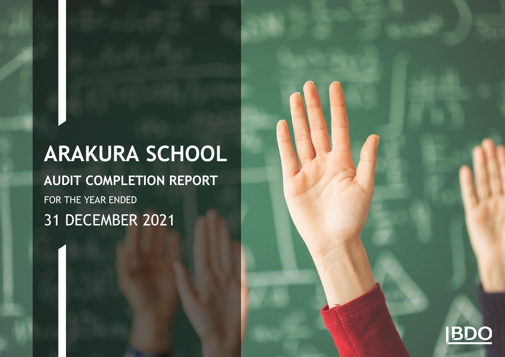# **ARAKURA SCHOOL**

**AUDIT COMPLETION REPORT** FOR THE YEAR ENDED 31 DECEMBER 2021

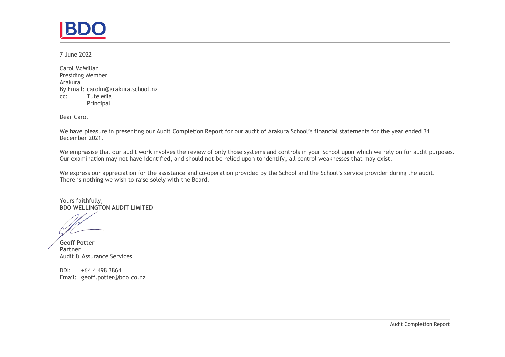7 June 2022

Carol McMillan Presiding Member Arakura By Email: carolm@arakura.school.nz cc: Tute Mila Principal

Dear Carol

We have pleasure in presenting our Audit Completion Report for our audit of Arakura School's financial statements for the year ended 31 December 2021.

We emphasise that our audit work involves the review of only those systems and controls in your School upon which we rely on for audit purposes. Our examination may not have identified, and should not be relied upon to identify, all control weaknesses that may exist.

We express our appreciation for the assistance and co-operation provided by the School and the School's service provider during the audit. There is nothing we wish to raise solely with the Board.

Yours faithfully, **BDO WELLINGTON AUDIT LIMITED**

**Geoff Potter Partner** Audit & Assurance Services

DDI: +64 4 498 3864 Email: [geoff.potter@bdo.co.nz](file:///C:/Users/Eden.Eldred/AppData/Local/Microsoft/Windows/INetCache/Content.Outlook/77GQMABT/geoff.potter@bdo.co.nz)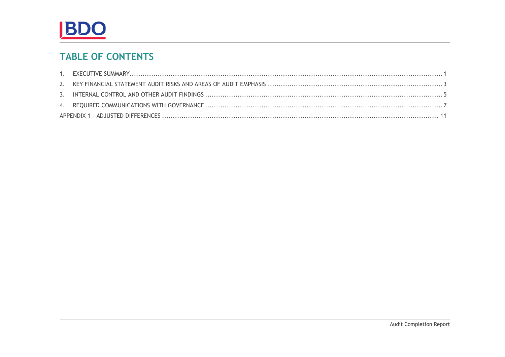

# **TABLE OF CONTENTS**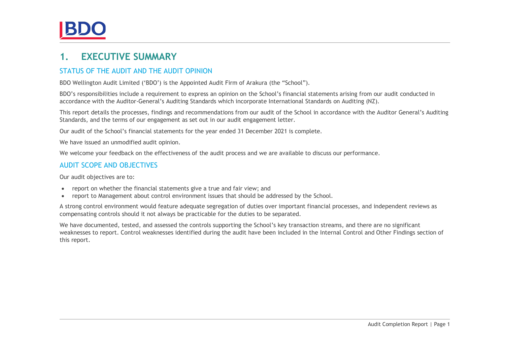### <span id="page-3-0"></span>**1. EXECUTIVE SUMMARY**

### STATUS OF THE AUDIT AND THE AUDIT OPINION

BDO Wellington Audit Limited ('BDO') is the Appointed Audit Firm of Arakura (the "School").

BDO's responsibilities include a requirement to express an opinion on the School's financial statements arising from our audit conducted in accordance with the Auditor-General's Auditing Standards which incorporate International Standards on Auditing (NZ).

This report details the processes, findings and recommendations from our audit of the School in accordance with the Auditor General's Auditing Standards, and the terms of our engagement as set out in our audit engagement letter.

Our audit of the School's financial statements for the year ended 31 December 2021 is complete.

We have issued an unmodified audit opinion.

We welcome your feedback on the effectiveness of the audit process and we are available to discuss our performance.

#### AUDIT SCOPE AND OBJECTIVES

Our audit objectives are to:

- report on whether the financial statements give a true and fair view; and
- report to Management about control environment issues that should be addressed by the School.

A strong control environment would feature adequate segregation of duties over important financial processes, and independent reviews as compensating controls should it not always be practicable for the duties to be separated.

We have documented, tested, and assessed the controls supporting the School's key transaction streams, and there are no significant weaknesses to report. Control weaknesses identified during the audit have been included in the Internal Control and Other Findings section of this report.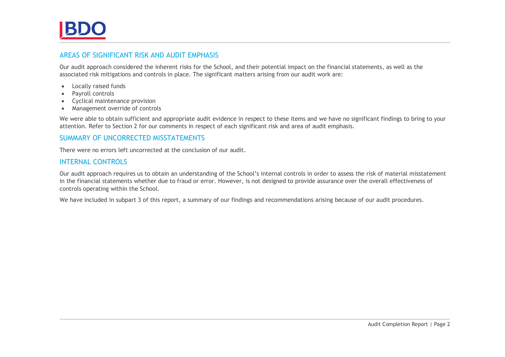#### AREAS OF SIGNIFICANT RISK AND AUDIT EMPHASIS

Our audit approach considered the inherent risks for the School, and their potential impact on the financial statements, as well as the associated risk mitigations and controls in place. The significant matters arising from our audit work are:

- Locally raised funds
- Payroll controls
- Cyclical maintenance provision
- Management override of controls

We were able to obtain sufficient and appropriate audit evidence in respect to these items and we have no significant findings to bring to your attention. Refer to Section 2 for our comments in respect of each significant risk and area of audit emphasis.

#### SUMMARY OF UNCORRECTED MISSTATEMENTS

There were no errors left uncorrected at the conclusion of our audit.

#### INTERNAL CONTROLS

Our audit approach requires us to obtain an understanding of the School's internal controls in order to assess the risk of material misstatement in the financial statements whether due to fraud or error. However, is not designed to provide assurance over the overall effectiveness of controls operating within the School.

We have included in subpart 3 of this report, a summary of our findings and recommendations arising because of our audit procedures.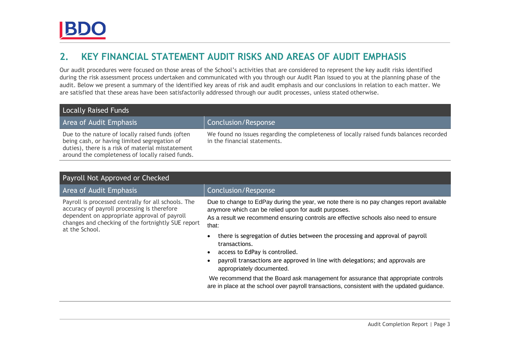### <span id="page-5-0"></span>**2. KEY FINANCIAL STATEMENT AUDIT RISKS AND AREAS OF AUDIT EMPHASIS**

Our audit procedures were focused on those areas of the School's activities that are considered to represent the key audit risks identified during the risk assessment process undertaken and communicated with you through our Audit Plan issued to you at the planning phase of the audit. Below we present a summary of the identified key areas of risk and audit emphasis and our conclusions in relation to each matter. We are satisfied that these areas have been satisfactorily addressed through our audit processes, unless stated otherwise.

| <b>Locally Raised Funds</b>                                                                                                                                                                               |                                                                                                                         |  |  |
|-----------------------------------------------------------------------------------------------------------------------------------------------------------------------------------------------------------|-------------------------------------------------------------------------------------------------------------------------|--|--|
| Area of Audit Emphasis                                                                                                                                                                                    | Conclusion/Response                                                                                                     |  |  |
| Due to the nature of locally raised funds (often<br>being cash, or having limited segregation of<br>duties), there is a risk of material misstatement<br>around the completeness of locally raised funds. | We found no issues regarding the completeness of locally raised funds balances recorded<br>in the financial statements. |  |  |

| Payroll Not Approved or Checked                                                                                                                                                                                            |                                                                                                                                                                                                                                                                                                                                                                                                                                                                                                                                                                                                                                                                                                                                 |  |  |
|----------------------------------------------------------------------------------------------------------------------------------------------------------------------------------------------------------------------------|---------------------------------------------------------------------------------------------------------------------------------------------------------------------------------------------------------------------------------------------------------------------------------------------------------------------------------------------------------------------------------------------------------------------------------------------------------------------------------------------------------------------------------------------------------------------------------------------------------------------------------------------------------------------------------------------------------------------------------|--|--|
| Area of Audit Emphasis                                                                                                                                                                                                     | Conclusion/Response                                                                                                                                                                                                                                                                                                                                                                                                                                                                                                                                                                                                                                                                                                             |  |  |
| Payroll is processed centrally for all schools. The<br>accuracy of payroll processing is therefore<br>dependent on appropriate approval of payroll<br>changes and checking of the fortnightly SUE report<br>at the School. | Due to change to EdPay during the year, we note there is no pay changes report available<br>anymore which can be relied upon for audit purposes.<br>As a result we recommend ensuring controls are effective schools also need to ensure<br>that:<br>there is segregation of duties between the processing and approval of payroll<br>$\bullet$<br>transactions.<br>access to EdPay is controlled.<br>$\bullet$<br>payroll transactions are approved in line with delegations; and approvals are<br>$\bullet$<br>appropriately documented.<br>We recommend that the Board ask management for assurance that appropriate controls<br>are in place at the school over payroll transactions, consistent with the updated guidance. |  |  |
|                                                                                                                                                                                                                            |                                                                                                                                                                                                                                                                                                                                                                                                                                                                                                                                                                                                                                                                                                                                 |  |  |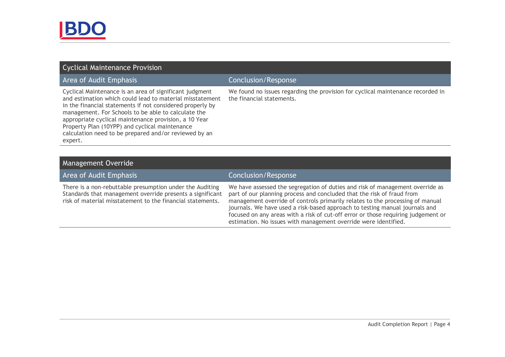| Cyclical Maintenance Provision                                                                                                                                                                                                                                                                                                                                                                                         |                                                                                                                 |  |  |
|------------------------------------------------------------------------------------------------------------------------------------------------------------------------------------------------------------------------------------------------------------------------------------------------------------------------------------------------------------------------------------------------------------------------|-----------------------------------------------------------------------------------------------------------------|--|--|
| <b>Area of Audit Emphasis</b>                                                                                                                                                                                                                                                                                                                                                                                          | <b>Conclusion/Response</b>                                                                                      |  |  |
| Cyclical Maintenance is an area of significant judgment<br>and estimation which could lead to material misstatement<br>in the financial statements if not considered properly by<br>management. For Schools to be able to calculate the<br>appropriate cyclical maintenance provision, a 10 Year<br>Property Plan (10YPP) and cyclical maintenance<br>calculation need to be prepared and/or reviewed by an<br>expert. | We found no issues regarding the provision for cyclical maintenance recorded in<br>the financial statements.    |  |  |
|                                                                                                                                                                                                                                                                                                                                                                                                                        |                                                                                                                 |  |  |
| <b>Management Override</b>                                                                                                                                                                                                                                                                                                                                                                                             |                                                                                                                 |  |  |
| <b>Area of Audit Emphasis</b>                                                                                                                                                                                                                                                                                                                                                                                          | <b>Conclusion/Response</b>                                                                                      |  |  |
|                                                                                                                                                                                                                                                                                                                                                                                                                        | the contract of the contract of the contract of the contract of the contract of the contract of the contract of |  |  |

There is a non-rebuttable presumption under the Auditing Standards that management override presents a significant risk of material misstatement to the financial statements.

We have assessed the segregation of duties and risk of management override as part of our planning process and concluded that the risk of fraud from management override of controls primarily relates to the processing of manual journals. We have used a risk-based approach to testing manual journals and focused on any areas with a risk of cut-off error or those requiring judgement or estimation. No issues with management override were identified.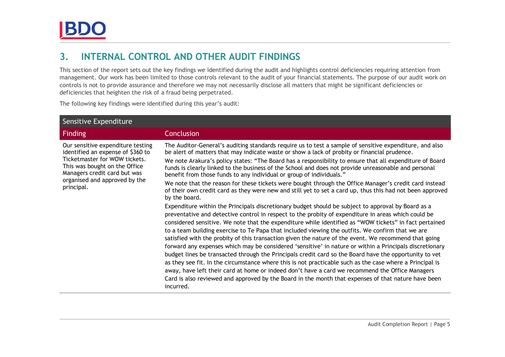### <span id="page-7-0"></span>**3. INTERNAL CONTROL AND OTHER AUDIT FINDINGS**

This section of the report sets out the key findings we identified during the audit and highlights control deficiencies requiring attention from management. Our work has been limited to those controls relevant to the audit of your financial statements. The purpose of our audit work on controls is not to provide assurance and therefore we may not necessarily disclose all matters that might be significant deficiencies or deficiencies that heighten the risk of a fraud being perpetrated.

The following key findings were identified during this year's audit:

| Sensitive Expenditure                                                                                                                                                    |                                                                                                                                                                                                                                                                                                                                                                                                                                                                                                                                                                                                                                                                                                                                                                                                                                                                                                                                                                                                                                                                                          |  |  |
|--------------------------------------------------------------------------------------------------------------------------------------------------------------------------|------------------------------------------------------------------------------------------------------------------------------------------------------------------------------------------------------------------------------------------------------------------------------------------------------------------------------------------------------------------------------------------------------------------------------------------------------------------------------------------------------------------------------------------------------------------------------------------------------------------------------------------------------------------------------------------------------------------------------------------------------------------------------------------------------------------------------------------------------------------------------------------------------------------------------------------------------------------------------------------------------------------------------------------------------------------------------------------|--|--|
| <b>Finding</b>                                                                                                                                                           | Conclusion                                                                                                                                                                                                                                                                                                                                                                                                                                                                                                                                                                                                                                                                                                                                                                                                                                                                                                                                                                                                                                                                               |  |  |
| Our sensitive expenditure testing<br>identified an expense of \$360 to<br>Ticketmaster for WOW tickets.<br>This was bought on the Office<br>Managers credit card but was | The Auditor-General's auditing standards require us to test a sample of sensitive expenditure, and also<br>be alert of matters that may indicate waste or show a lack of probity or financial prudence.<br>We note Arakura's policy states: "The Board has a responsibility to ensure that all expenditure of Board<br>funds is clearly linked to the business of the School and does not provide unreasonable and personal<br>benefit from those funds to any individual or group of individuals."                                                                                                                                                                                                                                                                                                                                                                                                                                                                                                                                                                                      |  |  |
| organised and approved by the<br>principal.                                                                                                                              | We note that the reason for these tickets were bought through the Office Manager's credit card instead<br>of their own credit card as they were new and still yet to set a card up, thus this had not been approved<br>by the board.                                                                                                                                                                                                                                                                                                                                                                                                                                                                                                                                                                                                                                                                                                                                                                                                                                                     |  |  |
|                                                                                                                                                                          | Expenditure within the Principals discretionary budget should be subject to approval by Board as a<br>preventative and detective control in respect to the probity of expenditure in areas which could be<br>considered sensitive. We note that the expenditure while identified as "WOW tickets" in fact pertained<br>to a team building exercise to Te Papa that included viewing the outfits. We confirm that we are<br>satisfied with the probity of this transaction given the nature of the event. We recommend that going<br>forward any expenses which may be considered 'sensitive' in nature or within a Principals discretionary<br>budget lines be transacted through the Principals credit card so the Board have the opportunity to vet<br>as they see fit. In the circumstance where this is not practicable such as the case where a Principal is<br>away, have left their card at home or indeed don't have a card we recommend the Office Managers<br>Card is also reviewed and approved by the Board in the month that expenses of that nature have been<br>incurred. |  |  |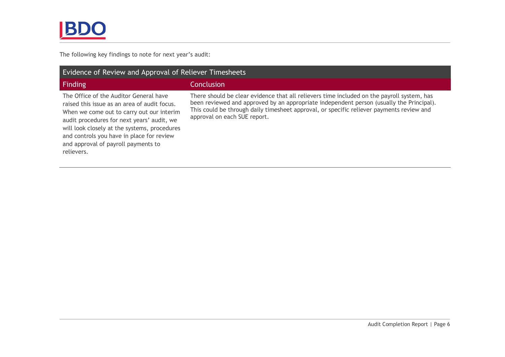The following key findings to note for next year's audit:

| <b>Evidence of Review and Approval of Reliever Timesheets</b>                                                                                                                                                                                                                                                                       |                                                                                                                                                                                                                                                                                                                    |  |  |
|-------------------------------------------------------------------------------------------------------------------------------------------------------------------------------------------------------------------------------------------------------------------------------------------------------------------------------------|--------------------------------------------------------------------------------------------------------------------------------------------------------------------------------------------------------------------------------------------------------------------------------------------------------------------|--|--|
| <b>Finding</b>                                                                                                                                                                                                                                                                                                                      | <b>Conclusion</b>                                                                                                                                                                                                                                                                                                  |  |  |
| The Office of the Auditor General have<br>raised this issue as an area of audit focus.<br>When we come out to carry out our interim<br>audit procedures for next years' audit, we<br>will look closely at the systems, procedures<br>and controls you have in place for review<br>and approval of payroll payments to<br>relievers. | There should be clear evidence that all relievers time included on the payroll system, has<br>been reviewed and approved by an appropriate independent person (usually the Principal).<br>This could be through daily timesheet approval, or specific reliever payments review and<br>approval on each SUE report. |  |  |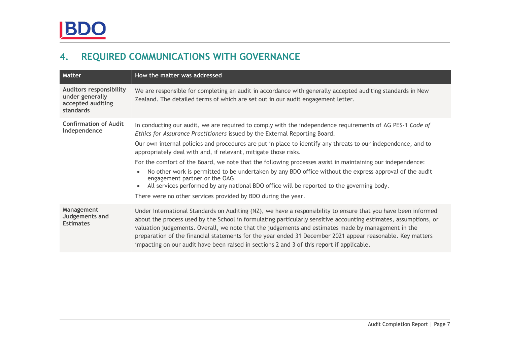# <span id="page-9-0"></span>**4. REQUIRED COMMUNICATIONS WITH GOVERNANCE**

| <b>Matter</b>                                                                       | How the matter was addressed                                                                                                                                                                                                                                                                                                                                                                                                                                                                                                                        |
|-------------------------------------------------------------------------------------|-----------------------------------------------------------------------------------------------------------------------------------------------------------------------------------------------------------------------------------------------------------------------------------------------------------------------------------------------------------------------------------------------------------------------------------------------------------------------------------------------------------------------------------------------------|
| <b>Auditors responsibility</b><br>under generally<br>accepted auditing<br>standards | We are responsible for completing an audit in accordance with generally accepted auditing standards in New<br>Zealand. The detailed terms of which are set out in our audit engagement letter.                                                                                                                                                                                                                                                                                                                                                      |
| <b>Confirmation of Audit</b><br>Independence                                        | In conducting our audit, we are required to comply with the independence requirements of AG PES-1 Code of<br>Ethics for Assurance Practitioners issued by the External Reporting Board.                                                                                                                                                                                                                                                                                                                                                             |
|                                                                                     | Our own internal policies and procedures are put in place to identify any threats to our independence, and to<br>appropriately deal with and, if relevant, mitigate those risks.                                                                                                                                                                                                                                                                                                                                                                    |
|                                                                                     | For the comfort of the Board, we note that the following processes assist in maintaining our independence:<br>No other work is permitted to be undertaken by any BDO office without the express approval of the audit<br>engagement partner or the OAG.<br>All services performed by any national BDO office will be reported to the governing body.<br>There were no other services provided by BDO during the year.                                                                                                                               |
| Management<br>Judgements and<br><b>Estimates</b>                                    | Under International Standards on Auditing (NZ), we have a responsibility to ensure that you have been informed<br>about the process used by the School in formulating particularly sensitive accounting estimates, assumptions, or<br>valuation judgements. Overall, we note that the judgements and estimates made by management in the<br>preparation of the financial statements for the year ended 31 December 2021 appear reasonable. Key matters<br>impacting on our audit have been raised in sections 2 and 3 of this report if applicable. |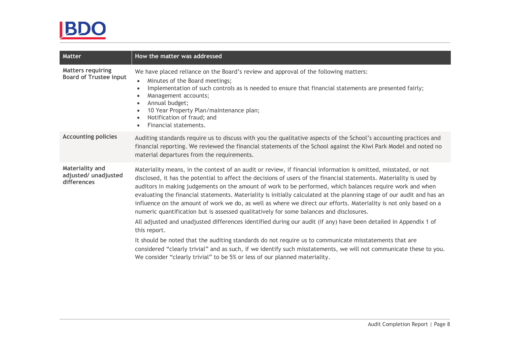# BDO

| <b>Matter</b>                                             | How the matter was addressed                                                                                                                                                                                                                                                                                                                                                                                                                                                                                                                                                                                                                                                                                                                                                                                                                                                                                                                                                                                                                                                                                                                     |
|-----------------------------------------------------------|--------------------------------------------------------------------------------------------------------------------------------------------------------------------------------------------------------------------------------------------------------------------------------------------------------------------------------------------------------------------------------------------------------------------------------------------------------------------------------------------------------------------------------------------------------------------------------------------------------------------------------------------------------------------------------------------------------------------------------------------------------------------------------------------------------------------------------------------------------------------------------------------------------------------------------------------------------------------------------------------------------------------------------------------------------------------------------------------------------------------------------------------------|
| <b>Matters requiring</b><br><b>Board of Trustee input</b> | We have placed reliance on the Board's review and approval of the following matters:<br>Minutes of the Board meetings;<br>Implementation of such controls as is needed to ensure that financial statements are presented fairly;<br>$\bullet$<br>Management accounts;<br>Annual budget;<br>10 Year Property Plan/maintenance plan;<br>Notification of fraud; and<br>Financial statements.                                                                                                                                                                                                                                                                                                                                                                                                                                                                                                                                                                                                                                                                                                                                                        |
| <b>Accounting policies</b>                                | Auditing standards require us to discuss with you the qualitative aspects of the School's accounting practices and<br>financial reporting. We reviewed the financial statements of the School against the Kiwi Park Model and noted no<br>material departures from the requirements.                                                                                                                                                                                                                                                                                                                                                                                                                                                                                                                                                                                                                                                                                                                                                                                                                                                             |
| Materiality and<br>adjusted/ unadjusted<br>differences    | Materiality means, in the context of an audit or review, if financial information is omitted, misstated, or not<br>disclosed, it has the potential to affect the decisions of users of the financial statements. Materiality is used by<br>auditors in making judgements on the amount of work to be performed, which balances require work and when<br>evaluating the financial statements. Materiality is initially calculated at the planning stage of our audit and has an<br>influence on the amount of work we do, as well as where we direct our efforts. Materiality is not only based on a<br>numeric quantification but is assessed qualitatively for some balances and disclosures.<br>All adjusted and unadjusted differences identified during our audit (if any) have been detailed in Appendix 1 of<br>this report.<br>It should be noted that the auditing standards do not require us to communicate misstatements that are<br>considered "clearly trivial" and as such, if we identify such misstatements, we will not communicate these to you.<br>We consider "clearly trivial" to be 5% or less of our planned materiality. |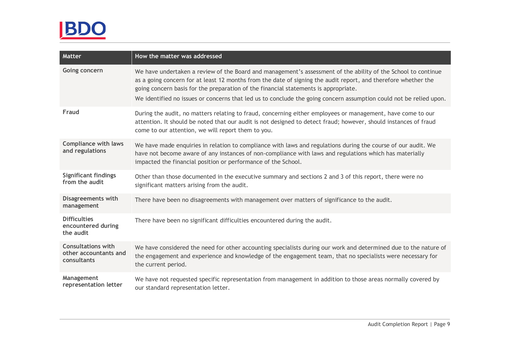# BDO

| Matter                                                            | How the matter was addressed                                                                                                                                                                                                                                                                                                                                                                                                                 |  |  |  |
|-------------------------------------------------------------------|----------------------------------------------------------------------------------------------------------------------------------------------------------------------------------------------------------------------------------------------------------------------------------------------------------------------------------------------------------------------------------------------------------------------------------------------|--|--|--|
| Going concern                                                     | We have undertaken a review of the Board and management's assessment of the ability of the School to continue<br>as a going concern for at least 12 months from the date of signing the audit report, and therefore whether the<br>going concern basis for the preparation of the financial statements is appropriate.<br>We identified no issues or concerns that led us to conclude the going concern assumption could not be relied upon. |  |  |  |
| Fraud                                                             | During the audit, no matters relating to fraud, concerning either employees or management, have come to our<br>attention. It should be noted that our audit is not designed to detect fraud; however, should instances of fraud<br>come to our attention, we will report them to you.                                                                                                                                                        |  |  |  |
| <b>Compliance with laws</b><br>and regulations                    | We have made enquiries in relation to compliance with laws and regulations during the course of our audit. We<br>have not become aware of any instances of non-compliance with laws and regulations which has materially<br>impacted the financial position or performance of the School.                                                                                                                                                    |  |  |  |
| <b>Significant findings</b><br>from the audit                     | Other than those documented in the executive summary and sections 2 and 3 of this report, there were no<br>significant matters arising from the audit.                                                                                                                                                                                                                                                                                       |  |  |  |
| <b>Disagreements with</b><br>management                           | There have been no disagreements with management over matters of significance to the audit.                                                                                                                                                                                                                                                                                                                                                  |  |  |  |
| <b>Difficulties</b><br>encountered during<br>the audit            | There have been no significant difficulties encountered during the audit.                                                                                                                                                                                                                                                                                                                                                                    |  |  |  |
| <b>Consultations with</b><br>other accountants and<br>consultants | We have considered the need for other accounting specialists during our work and determined due to the nature of<br>the engagement and experience and knowledge of the engagement team, that no specialists were necessary for<br>the current period.                                                                                                                                                                                        |  |  |  |
| Management<br>representation letter                               | We have not requested specific representation from management in addition to those areas normally covered by<br>our standard representation letter.                                                                                                                                                                                                                                                                                          |  |  |  |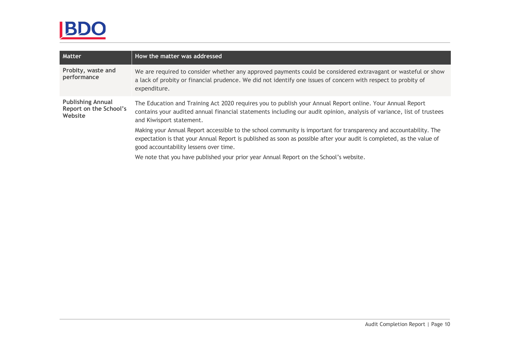# BDO

| <b>Matter</b>                                                 | How the matter was addressed                                                                                                                                                                                                                                                           |
|---------------------------------------------------------------|----------------------------------------------------------------------------------------------------------------------------------------------------------------------------------------------------------------------------------------------------------------------------------------|
| Probity, waste and<br>performance                             | We are required to consider whether any approved payments could be considered extravagant or wasteful or show<br>a lack of probity or financial prudence. We did not identify one issues of concern with respect to probity of<br>expenditure.                                         |
| <b>Publishing Annual</b><br>Report on the School's<br>Website | The Education and Training Act 2020 requires you to publish your Annual Report online. Your Annual Report<br>contains your audited annual financial statements including our audit opinion, analysis of variance, list of trustees<br>and Kiwisport statement.                         |
|                                                               | Making your Annual Report accessible to the school community is important for transparency and accountability. The<br>expectation is that your Annual Report is published as soon as possible after your audit is completed, as the value of<br>good accountability lessens over time. |
|                                                               | We note that you have published your prior year Annual Report on the School's website.                                                                                                                                                                                                 |